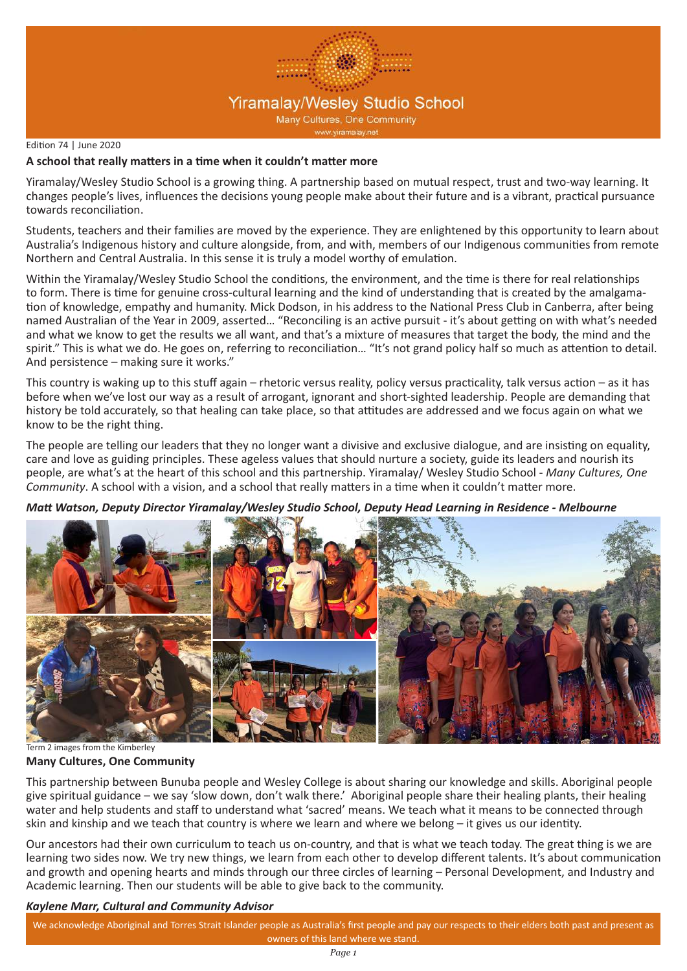

#### Edition 74 | June 2020

#### **A school that really matters in a time when it couldn't matter more**

Yiramalay/Wesley Studio School is a growing thing. A partnership based on mutual respect, trust and two-way learning. It changes people's lives, influences the decisions young people make about their future and is a vibrant, practical pursuance towards reconciliation.

Students, teachers and their families are moved by the experience. They are enlightened by this opportunity to learn about Australia's Indigenous history and culture alongside, from, and with, members of our Indigenous communities from remote Northern and Central Australia. In this sense it is truly a model worthy of emulation.

Within the Yiramalay/Wesley Studio School the conditions, the environment, and the time is there for real relationships to form. There is time for genuine cross-cultural learning and the kind of understanding that is created by the amalgamation of knowledge, empathy and humanity. Mick Dodson, in his address to the National Press Club in Canberra, after being named Australian of the Year in 2009, asserted… "Reconciling is an active pursuit - it's about getting on with what's needed and what we know to get the results we all want, and that's a mixture of measures that target the body, the mind and the spirit." This is what we do. He goes on, referring to reconciliation… "It's not grand policy half so much as attention to detail. And persistence – making sure it works."

This country is waking up to this stuff again – rhetoric versus reality, policy versus practicality, talk versus action – as it has before when we've lost our way as a result of arrogant, ignorant and short-sighted leadership. People are demanding that history be told accurately, so that healing can take place, so that attitudes are addressed and we focus again on what we know to be the right thing.

The people are telling our leaders that they no longer want a divisive and exclusive dialogue, and are insisting on equality, care and love as guiding principles. These ageless values that should nurture a society, guide its leaders and nourish its people, are what's at the heart of this school and this partnership. Yiramalay/ Wesley Studio School - *Many Cultures, One Community*. A school with a vision, and a school that really matters in a time when it couldn't matter more.

*Matt Watson, Deputy Director Yiramalay/Wesley Studio School, Deputy Head Learning in Residence - Melbourne* 



**Many Cultures, One Community** Term 2 images from the Kimberley

This partnership between Bunuba people and Wesley College is about sharing our knowledge and skills. Aboriginal people give spiritual guidance – we say 'slow down, don't walk there.' Aboriginal people share their healing plants, their healing water and help students and staff to understand what 'sacred' means. We teach what it means to be connected through skin and kinship and we teach that country is where we learn and where we belong – it gives us our identity.

Our ancestors had their own curriculum to teach us on-country, and that is what we teach today. The great thing is we are learning two sides now. We try new things, we learn from each other to develop different talents. It's about communication and growth and opening hearts and minds through our three circles of learning – Personal Development, and Industry and Academic learning. Then our students will be able to give back to the community.

#### *Kaylene Marr, Cultural and Community Advisor*

We acknowledge Aboriginal and Torres Strait Islander people as Australia's first people and pay our respects to their elders both past and present as owners of this land where we stand.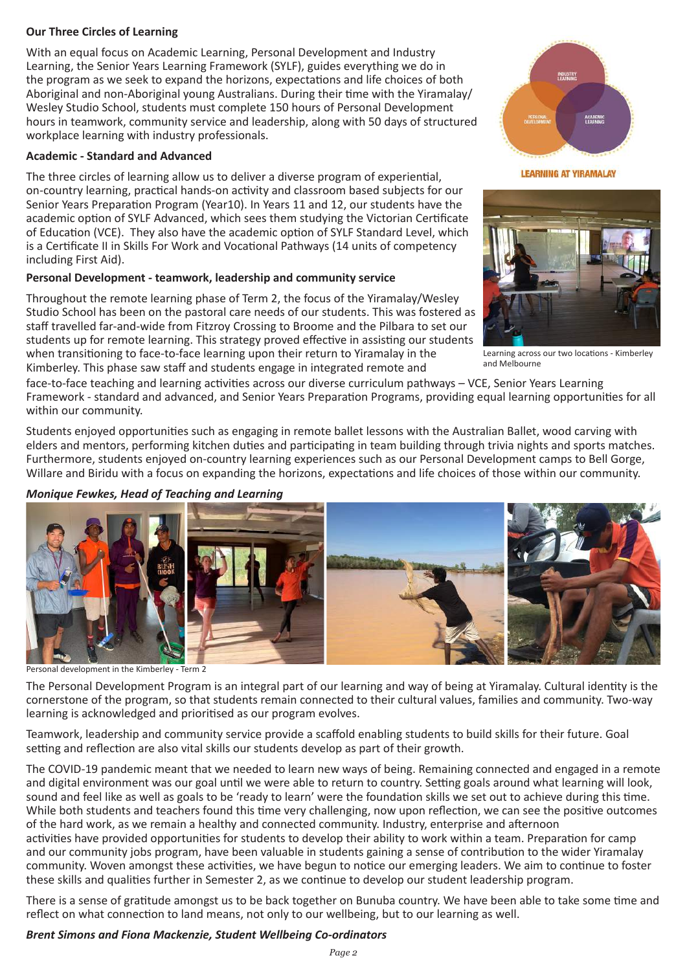### **Our Three Circles of Learning**

With an equal focus on Academic Learning, Personal Development and Industry Learning, the Senior Years Learning Framework (SYLF), guides everything we do in the program as we seek to expand the horizons, expectations and life choices of both Aboriginal and non-Aboriginal young Australians. During their time with the Yiramalay/ Wesley Studio School, students must complete 150 hours of Personal Development hours in teamwork, community service and leadership, along with 50 days of structured workplace learning with industry professionals.

### **Academic - Standard and Advanced**

The three circles of learning allow us to deliver a diverse program of experiential, on-country learning, practical hands-on activity and classroom based subjects for our Senior Years Preparation Program (Year10). In Years 11 and 12, our students have the academic option of SYLF Advanced, which sees them studying the Victorian Certificate of Education (VCE). They also have the academic option of SYLF Standard Level, which is a Certificate II in Skills For Work and Vocational Pathways (14 units of competency including First Aid).

### **Personal Development - teamwork, leadership and community service**

Throughout the remote learning phase of Term 2, the focus of the Yiramalay/Wesley Studio School has been on the pastoral care needs of our students. This was fostered as staff travelled far-and-wide from Fitzroy Crossing to Broome and the Pilbara to set our students up for remote learning. This strategy proved effective in assisting our students when transitioning to face-to-face learning upon their return to Yiramalay in the Kimberley. This phase saw staff and students engage in integrated remote and



**LEARNING AT YIRAMALAY** 



Learning across our two locations - Kimberley and Melbourne

face-to-face teaching and learning activities across our diverse curriculum pathways – VCE, Senior Years Learning Framework - standard and advanced, and Senior Years Preparation Programs, providing equal learning opportunities for all within our community.

Students enjoyed opportunities such as engaging in remote ballet lessons with the Australian Ballet, wood carving with elders and mentors, performing kitchen duties and participating in team building through trivia nights and sports matches. Furthermore, students enjoyed on-country learning experiences such as our Personal Development camps to Bell Gorge, Willare and Biridu with a focus on expanding the horizons, expectations and life choices of those within our community.

### *Monique Fewkes, Head of Teaching and Learning*



Personal development in the Kimberley - Term 2

The Personal Development Program is an integral part of our learning and way of being at Yiramalay. Cultural identity is the cornerstone of the program, so that students remain connected to their cultural values, families and community. Two-way learning is acknowledged and prioritised as our program evolves.

Teamwork, leadership and community service provide a scaffold enabling students to build skills for their future. Goal setting and reflection are also vital skills our students develop as part of their growth.

The COVID-19 pandemic meant that we needed to learn new ways of being. Remaining connected and engaged in a remote and digital environment was our goal until we were able to return to country. Setting goals around what learning will look, sound and feel like as well as goals to be 'ready to learn' were the foundation skills we set out to achieve during this time. While both students and teachers found this time very challenging, now upon reflection, we can see the positive outcomes of the hard work, as we remain a healthy and connected community. Industry, enterprise and afternoon activities have provided opportunities for students to develop their ability to work within a team. Preparation for camp

and our community jobs program, have been valuable in students gaining a sense of contribution to the wider Yiramalay community. Woven amongst these activities, we have begun to notice our emerging leaders. We aim to continue to foster these skills and qualities further in Semester 2, as we continue to develop our student leadership program.

There is a sense of gratitude amongst us to be back together on Bunuba country. We have been able to take some time and reflect on what connection to land means, not only to our wellbeing, but to our learning as well.

#### *Brent Simons and Fiona Mackenzie, Student Wellbeing Co-ordinators*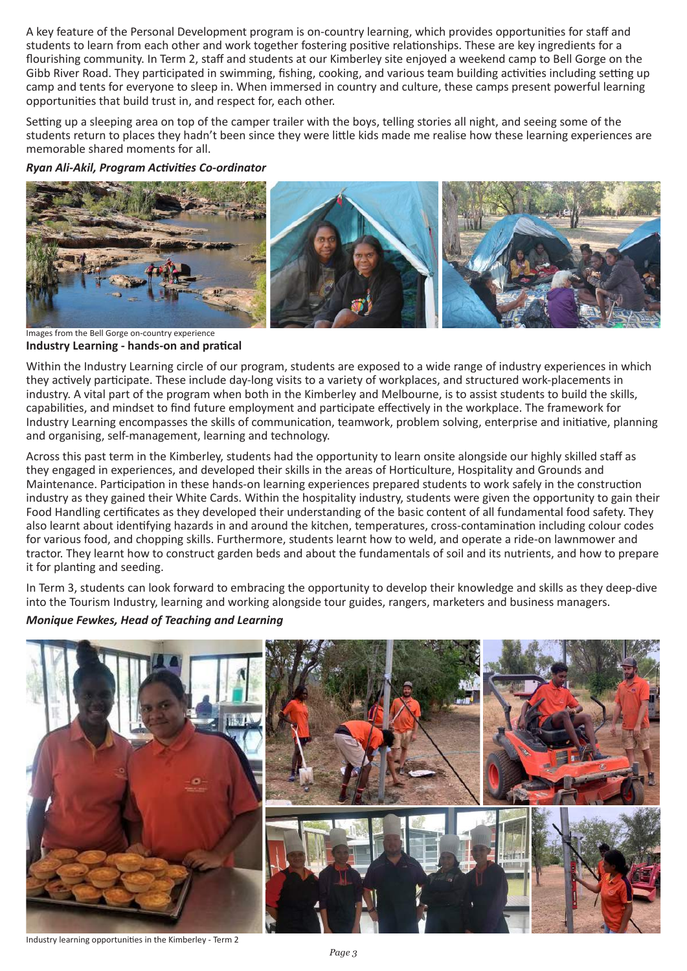A key feature of the Personal Development program is on-country learning, which provides opportunities for staff and students to learn from each other and work together fostering positive relationships. These are key ingredients for a flourishing community. In Term 2, staff and students at our Kimberley site enjoyed a weekend camp to Bell Gorge on the Gibb River Road. They participated in swimming, fishing, cooking, and various team building activities including setting up camp and tents for everyone to sleep in. When immersed in country and culture, these camps present powerful learning opportunities that build trust in, and respect for, each other.

Setting up a sleeping area on top of the camper trailer with the boys, telling stories all night, and seeing some of the students return to places they hadn't been since they were little kids made me realise how these learning experiences are memorable shared moments for all.

*Ryan Ali-Akil, Program Activities Co-ordinator*



**Industry Learning - hands-on and pratical** Images from the Bell Gorge on-country experience

Within the Industry Learning circle of our program, students are exposed to a wide range of industry experiences in which they actively participate. These include day-long visits to a variety of workplaces, and structured work-placements in industry. A vital part of the program when both in the Kimberley and Melbourne, is to assist students to build the skills, capabilities, and mindset to find future employment and participate effectively in the workplace. The framework for Industry Learning encompasses the skills of communication, teamwork, problem solving, enterprise and initiative, planning and organising, self-management, learning and technology.

Across this past term in the Kimberley, students had the opportunity to learn onsite alongside our highly skilled staff as they engaged in experiences, and developed their skills in the areas of Horticulture, Hospitality and Grounds and Maintenance. Participation in these hands-on learning experiences prepared students to work safely in the construction industry as they gained their White Cards. Within the hospitality industry, students were given the opportunity to gain their Food Handling certificates as they developed their understanding of the basic content of all fundamental food safety. They also learnt about identifying hazards in and around the kitchen, temperatures, cross-contamination including colour codes for various food, and chopping skills. Furthermore, students learnt how to weld, and operate a ride-on lawnmower and tractor. They learnt how to construct garden beds and about the fundamentals of soil and its nutrients, and how to prepare it for planting and seeding.

In Term 3, students can look forward to embracing the opportunity to develop their knowledge and skills as they deep-dive into the Tourism Industry, learning and working alongside tour guides, rangers, marketers and business managers.

*Monique Fewkes, Head of Teaching and Learning*



Industry learning opportunities in the Kimberley - Term 2